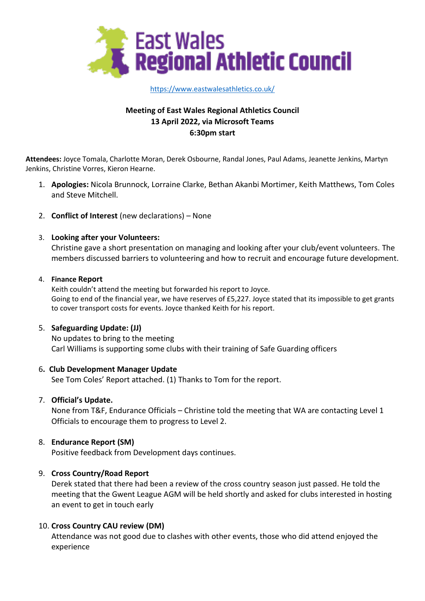

## [https://www.eastwalesathletics.co.uk/](about:blank)

# **Meeting of East Wales Regional Athletics Council 13 April 2022, via Microsoft Teams 6:30pm start**

**Attendees:** Joyce Tomala, Charlotte Moran, Derek Osbourne, Randal Jones, Paul Adams, Jeanette Jenkins, Martyn Jenkins, Christine Vorres, Kieron Hearne.

- 1. **Apologies:** Nicola Brunnock, Lorraine Clarke, Bethan Akanbi Mortimer, Keith Matthews, Tom Coles and Steve Mitchell.
- 2. **Conflict of Interest** (new declarations) None

# 3. **Looking after your Volunteers:**

Christine gave a short presentation on managing and looking after your club/event volunteers. The members discussed barriers to volunteering and how to recruit and encourage future development.

## 4. **Finance Report**

Keith couldn't attend the meeting but forwarded his report to Joyce. Going to end of the financial year, we have reserves of £5,227. Joyce stated that its impossible to get grants to cover transport costs for events. Joyce thanked Keith for his report.

## 5. **Safeguarding Update: (JJ)**

No updates to bring to the meeting Carl Williams is supporting some clubs with their training of Safe Guarding officers

## 6**. Club Development Manager Update**

See Tom Coles' Report attached. (1) Thanks to Tom for the report.

## 7. **Official's Update.**

None from T&F, Endurance Officials – Christine told the meeting that WA are contacting Level 1 Officials to encourage them to progress to Level 2.

## 8. **Endurance Report (SM)**

Positive feedback from Development days continues.

## 9. **Cross Country/Road Report**

Derek stated that there had been a review of the cross country season just passed. He told the meeting that the Gwent League AGM will be held shortly and asked for clubs interested in hosting an event to get in touch early

# 10. **Cross Country CAU review (DM)**

Attendance was not good due to clashes with other events, those who did attend enjoyed the experience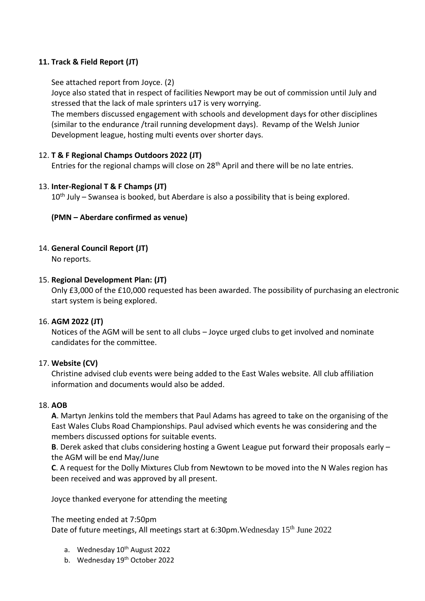# **11. Track & Field Report (JT)**

See attached report from Joyce. (2)

Joyce also stated that in respect of facilities Newport may be out of commission until July and stressed that the lack of male sprinters u17 is very worrying.

The members discussed engagement with schools and development days for other disciplines (similar to the endurance /trail running development days). Revamp of the Welsh Junior Development league, hosting multi events over shorter days.

# 12. **T & F Regional Champs Outdoors 2022 (JT)**

Entries for the regional champs will close on 28<sup>th</sup> April and there will be no late entries.

# 13. **Inter-Regional T & F Champs (JT)**

 $10<sup>th</sup>$  July – Swansea is booked, but Aberdare is also a possibility that is being explored.

# **(PMN – Aberdare confirmed as venue)**

# 14. **General Council Report (JT)**

No reports.

## 15. **Regional Development Plan: (JT)**

Only £3,000 of the £10,000 requested has been awarded. The possibility of purchasing an electronic start system is being explored.

## 16. **AGM 2022 (JT)**

Notices of the AGM will be sent to all clubs – Joyce urged clubs to get involved and nominate candidates for the committee.

## 17. **Website (CV)**

Christine advised club events were being added to the East Wales website. All club affiliation information and documents would also be added.

## 18. **AOB**

**A**. Martyn Jenkins told the members that Paul Adams has agreed to take on the organising of the East Wales Clubs Road Championships. Paul advised which events he was considering and the members discussed options for suitable events.

**B**. Derek asked that clubs considering hosting a Gwent League put forward their proposals early – the AGM will be end May/June

**C**. A request for the Dolly Mixtures Club from Newtown to be moved into the N Wales region has been received and was approved by all present.

Joyce thanked everyone for attending the meeting

## The meeting ended at 7:50pm

Date of future meetings, All meetings start at 6:30pm. Wednesday 15<sup>th</sup> June 2022

- a. Wednesday 10<sup>th</sup> August 2022
- b. Wednesday 19<sup>th</sup> October 2022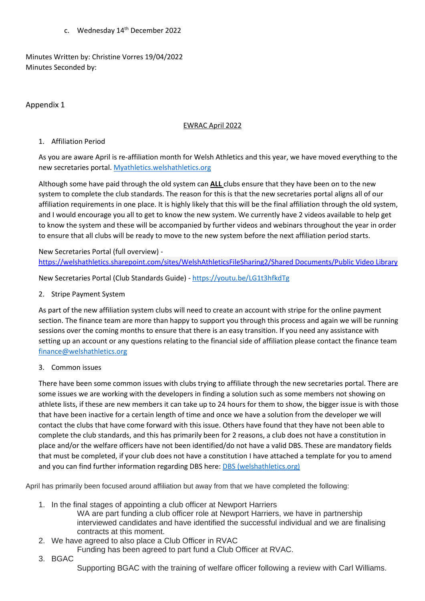c. Wednesday 14<sup>th</sup> December 2022

Minutes Written by: Christine Vorres 19/04/2022 Minutes Seconded by:

# Appendix 1

# EWRAC April 2022

## 1. Affiliation Period

As you are aware April is re-affiliation month for Welsh Athletics and this year, we have moved everything to the new secretaries portal. [Myathletics.welshathletics.org](myathletics.welshathletics.org)

Although some have paid through the old system can **ALL** clubs ensure that they have been on to the new system to complete the club standards. The reason for this is that the new secretaries portal aligns all of our affiliation requirements in one place. It is highly likely that this will be the final affiliation through the old system, and I would encourage you all to get to know the new system. We currently have 2 videos available to help get to know the system and these will be accompanied by further videos and webinars throughout the year in order to ensure that all clubs will be ready to move to the new system before the next affiliation period starts.

New Secretaries Portal (full overview) [https://welshathletics.sharepoint.com/sites/WelshAthleticsFileSharing2/Shared Documents/Public Video Library](https://welshathletics.sharepoint.com/:f:/s/WelshAthleticsFileSharing2/EqzswaC2LcRMnLub-HuFFc8BLjVaYBOIvWN9Tm8R3FQ0tw)

New Secretaries Portal (Club Standards Guide) - <https://youtu.be/LG1t3hfkdTg>

2. Stripe Payment System

As part of the new affiliation system clubs will need to create an account with stripe for the online payment section. The finance team are more than happy to support you through this process and again we will be running sessions over the coming months to ensure that there is an easy transition. If you need any assistance with setting up an account or any questions relating to the financial side of affiliation please contact the finance team [finance@welshathletics.org](mailto:finance@welshathletics.org)

3. Common issues

There have been some common issues with clubs trying to affiliate through the new secretaries portal. There are some issues we are working with the developers in finding a solution such as some members not showing on athlete lists, if these are new members it can take up to 24 hours for them to show, the bigger issue is with those that have been inactive for a certain length of time and once we have a solution from the developer we will contact the clubs that have come forward with this issue. Others have found that they have not been able to complete the club standards, and this has primarily been for 2 reasons, a club does not have a constitution in place and/or the welfare officers have not been identified/do not have a valid DBS. These are mandatory fields that must be completed, if your club does not have a constitution I have attached a template for you to amend and you can find further information regarding DBS here: [DBS \(welshathletics.org\)](https://www.welshathletics.org/en/page/dbs)

April has primarily been focused around affiliation but away from that we have completed the following:

- 1. In the final stages of appointing a club officer at Newport Harriers
	- WA are part funding a club officer role at Newport Harriers, we have in partnership interviewed candidates and have identified the successful individual and we are finalising contracts at this moment.
- 2. We have agreed to also place a Club Officer in RVAC
	- Funding has been agreed to part fund a Club Officer at RVAC.
- 3. BGAC

Supporting BGAC with the training of welfare officer following a review with Carl Williams.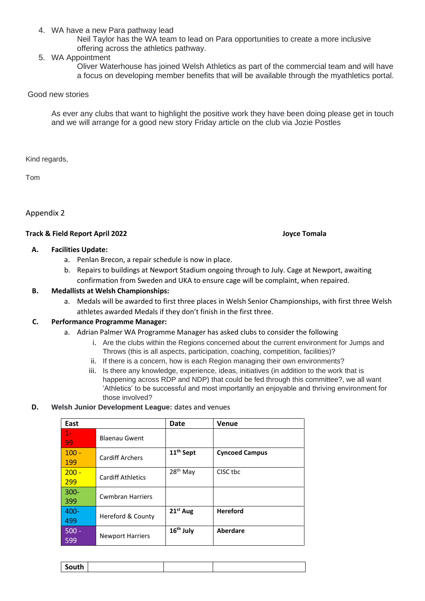4. WA have a new Para pathway lead

Neil Taylor has the WA team to lead on Para opportunities to create a more inclusive offering across the athletics pathway.

5. WA Appointment

Oliver Waterhouse has joined Welsh Athletics as part of the commercial team and will have a focus on developing member benefits that will be available through the myathletics portal.

#### Good new stories

As ever any clubs that want to highlight the positive work they have been doing please get in touch and we will arrange for a good new story Friday article on the club via Jozie Postles

Kind regards,

Tom

Appendix 2

#### **Track & Field Report April 2022 Joyce Tomala**

#### **A. Facilities Update:**

- a. Penlan Brecon, a repair schedule is now in place.
- b. Repairs to buildings at Newport Stadium ongoing through to July. Cage at Newport, awaiting confirmation from Sweden and UKA to ensure cage will be complaint, when repaired.

#### **B. Medallists at Welsh Championships:**

a. Medals will be awarded to first three places in Welsh Senior Championships, with first three Welsh athletes awarded Medals if they don't finish in the first three.

#### **C. Performance Programme Manager:**

- a. Adrian Palmer WA Programme Manager has asked clubs to consider the following
	- i. Are the clubs within the Regions concerned about the current environment for Jumps and Throws (this is all aspects, participation, coaching, competition, facilities)?
	- ii. If there is a concern, how is each Region managing their own environments?
	- iii. Is there any knowledge, experience, ideas, initiatives (in addition to the work that is happening across RDP and NDP) that could be fed through this committee?, we all want 'Athletics' to be successful and most importantly an enjoyable and thriving environment for those involved?

#### **D. Welsh Junior Development League:** dates and venues

| East    |                          | <b>Date</b>           | <b>Venue</b>          |
|---------|--------------------------|-----------------------|-----------------------|
| $1 -$   | <b>Blaenau Gwent</b>     |                       |                       |
| 99      |                          |                       |                       |
| $100 -$ | <b>Cardiff Archers</b>   | 11 <sup>th</sup> Sept | <b>Cyncoed Campus</b> |
| 199     |                          |                       |                       |
| $200 -$ | <b>Cardiff Athletics</b> | 28 <sup>th</sup> May  | CISC tbc              |
| 299     |                          |                       |                       |
| $300 -$ | <b>Cwmbran Harriers</b>  |                       |                       |
| 399     |                          |                       |                       |
| 400-    | Hereford & County        | 21 <sup>st</sup> Aug  | <b>Hereford</b>       |
| 499     |                          |                       |                       |
| $500 -$ | <b>Newport Harriers</b>  | 16 <sup>th</sup> July | Aberdare              |
| 599     |                          |                       |                       |

| South |  |  |
|-------|--|--|
|       |  |  |